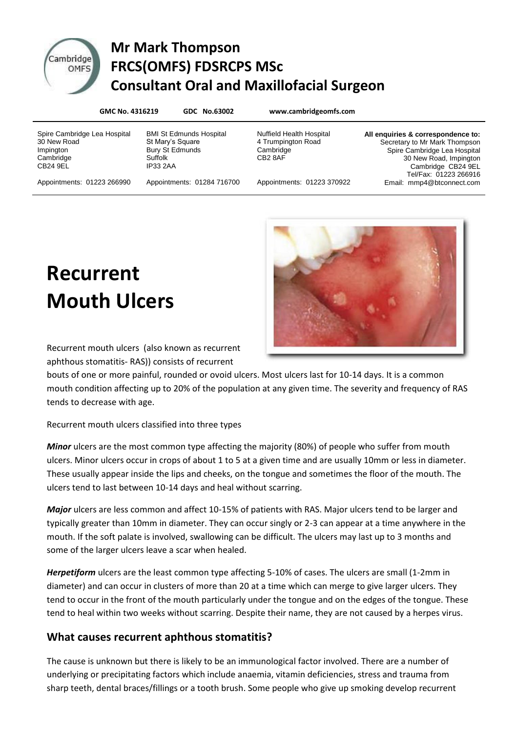

# Cambridge Mr Mark Thompson **DITIGGE FRCS(OMFS) FDSRCPS MSc Consultant Oral and Maxillofacial Surgeon**

| GMC No. 4316219                                                                   |                                                                                                     | GDC No.63002               | www.cambridgeomfs.com                                                         |                                                                                                                                                                              |
|-----------------------------------------------------------------------------------|-----------------------------------------------------------------------------------------------------|----------------------------|-------------------------------------------------------------------------------|------------------------------------------------------------------------------------------------------------------------------------------------------------------------------|
| Spire Cambridge Lea Hospital<br>30 New Road<br>Impington<br>Cambridge<br>CB24 9EL | <b>BMI St Edmunds Hospital</b><br>St Mary's Square<br>Bury St Edmunds<br>Suffolk<br><b>IP33 2AA</b> |                            | <b>Nuffield Health Hospital</b><br>4 Trumpington Road<br>Cambridge<br>CB2 8AF | All enquiries & correspondence to:<br>Secretary to Mr Mark Thompson<br>Spire Cambridge Lea Hospital<br>30 New Road, Impington<br>Cambridge CB24 9EL<br>Tel/Fax: 01223 266916 |
| Appointments: 01223 266990                                                        |                                                                                                     | Appointments: 01284 716700 | Appointments: 01223 370922                                                    | Email: mmp4@btconnect.com                                                                                                                                                    |

**Recurrent Mouth Ulcers**



Recurrent mouth ulcers (also known as recurrent aphthous stomatitis- RAS)) consists of recurrent

bouts of one or more painful, rounded or ovoid ulcers. Most ulcers last for 10-14 days. It is a common mouth condition affecting up to 20% of the population at any given time. The severity and frequency of RAS tends to decrease with age.

Recurrent mouth ulcers classified into three types

*Minor* ulcers are the most common type affecting the majority (80%) of people who suffer from mouth ulcers. Minor ulcers occur in crops of about 1 to 5 at a given time and are usually 10mm or less in diameter. These usually appear inside the lips and cheeks, on the tongue and sometimes the floor of the mouth. The ulcers tend to last between 10-14 days and heal without scarring.

*Major* ulcers are less common and affect 10-15% of patients with RAS. Major ulcers tend to be larger and typically greater than 10mm in diameter. They can occur singly or 2-3 can appear at a time anywhere in the mouth. If the soft palate is involved, swallowing can be difficult. The ulcers may last up to 3 months and some of the larger ulcers leave a scar when healed.

*Herpetiform* ulcers are the least common type affecting 5-10% of cases. The ulcers are small (1-2mm in diameter) and can occur in clusters of more than 20 at a time which can merge to give larger ulcers. They tend to occur in the front of the mouth particularly under the tongue and on the edges of the tongue. These tend to heal within two weeks without scarring. Despite their name, they are not caused by a herpes virus.

# **What causes recurrent aphthous stomatitis?**

The cause is unknown but there is likely to be an immunological factor involved. There are a number of underlying or precipitating factors which include anaemia, vitamin deficiencies, stress and trauma from sharp teeth, dental braces/fillings or a tooth brush. Some people who give up smoking develop recurrent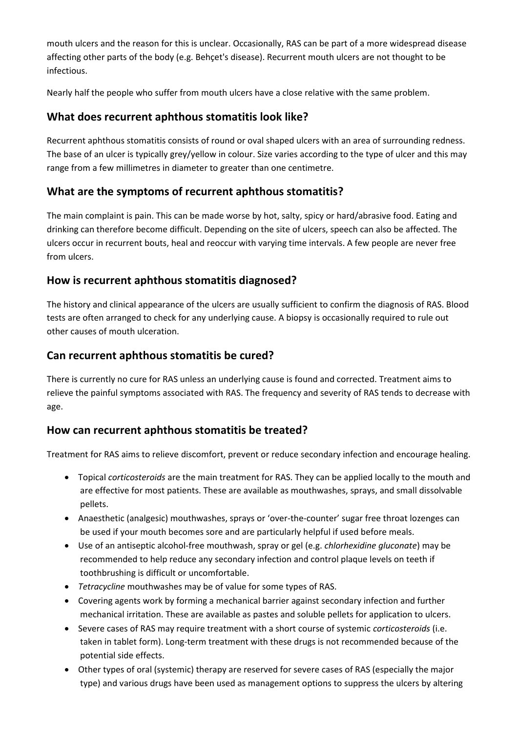mouth ulcers and the reason for this is unclear. Occasionally, RAS can be part of a more widespread disease affecting other parts of the body (e.g. Behçet's disease). Recurrent mouth ulcers are not thought to be infectious.

Nearly half the people who suffer from mouth ulcers have a close relative with the same problem.

## **What does recurrent aphthous stomatitis look like?**

Recurrent aphthous stomatitis consists of round or oval shaped ulcers with an area of surrounding redness. The base of an ulcer is typically grey/yellow in colour. Size varies according to the type of ulcer and this may range from a few millimetres in diameter to greater than one centimetre.

## **What are the symptoms of recurrent aphthous stomatitis?**

The main complaint is pain. This can be made worse by hot, salty, spicy or hard/abrasive food. Eating and drinking can therefore become difficult. Depending on the site of ulcers, speech can also be affected. The ulcers occur in recurrent bouts, heal and reoccur with varying time intervals. A few people are never free from ulcers.

#### **How is recurrent aphthous stomatitis diagnosed?**

The history and clinical appearance of the ulcers are usually sufficient to confirm the diagnosis of RAS. Blood tests are often arranged to check for any underlying cause. A biopsy is occasionally required to rule out other causes of mouth ulceration.

## **Can recurrent aphthous stomatitis be cured?**

There is currently no cure for RAS unless an underlying cause is found and corrected. Treatment aims to relieve the painful symptoms associated with RAS. The frequency and severity of RAS tends to decrease with age.

# **How can recurrent aphthous stomatitis be treated?**

Treatment for RAS aims to relieve discomfort, prevent or reduce secondary infection and encourage healing.

- Topical *corticosteroids* are the main treatment for RAS. They can be applied locally to the mouth and are effective for most patients. These are available as mouthwashes, sprays, and small dissolvable pellets.
- Anaesthetic (analgesic) mouthwashes, sprays or 'over-the-counter' sugar free throat lozenges can be used if your mouth becomes sore and are particularly helpful if used before meals.
- Use of an antiseptic alcohol-free mouthwash, spray or gel (e.g. *chlorhexidine gluconate*) may be recommended to help reduce any secondary infection and control plaque levels on teeth if toothbrushing is difficult or uncomfortable.
- *Tetracycline* mouthwashes may be of value for some types of RAS.
- Covering agents work by forming a mechanical barrier against secondary infection and further mechanical irritation. These are available as pastes and soluble pellets for application to ulcers.
- Severe cases of RAS may require treatment with a short course of systemic *corticosteroids* (i.e. taken in tablet form). Long-term treatment with these drugs is not recommended because of the potential side effects.
- Other types of oral (systemic) therapy are reserved for severe cases of RAS (especially the major type) and various drugs have been used as management options to suppress the ulcers by altering